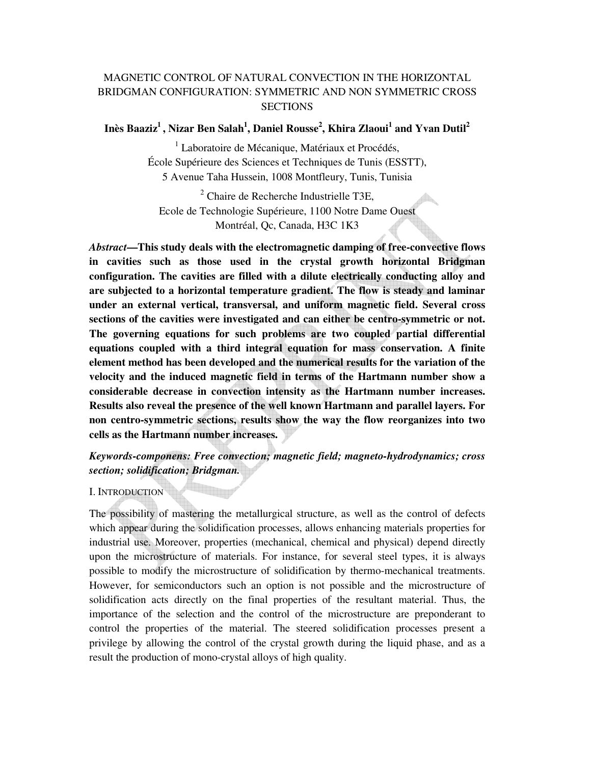# MAGNETIC CONTROL OF NATURAL CONVECTION IN THE HORIZONTAL BRIDGMAN CONFIGURATION: SYMMETRIC AND NON SYMMETRIC CROSS **SECTIONS**

# **Inès Baaziz<sup>1</sup>, Nizar Ben Salah<sup>1</sup> , Daniel Rousse<sup>2</sup> , Khira Zlaoui<sup>1</sup> and Yvan Dutil<sup>2</sup>**

<sup>1</sup> Laboratoire de Mécanique, Matériaux et Procédés, École Supérieure des Sciences et Techniques de Tunis (ESSTT), 5 Avenue Taha Hussein, 1008 Montfleury, Tunis, Tunisia

<sup>2</sup> Chaire de Recherche Industrielle T3E, Ecole de Technologie Supérieure, 1100 Notre Dame Ouest Montréal, Qc, Canada, H3C 1K3

*Abstract***—This study deals with the electromagnetic damping of free-convective flows in cavities such as those used in the crystal growth horizontal Bridgman configuration. The cavities are filled with a dilute electrically conducting alloy and are subjected to a horizontal temperature gradient. The flow is steady and laminar under an external vertical, transversal, and uniform magnetic field. Several cross sections of the cavities were investigated and can either be centro-symmetric or not. The governing equations for such problems are two coupled partial differential equations coupled with a third integral equation for mass conservation. A finite element method has been developed and the numerical results for the variation of the velocity and the induced magnetic field in terms of the Hartmann number show a considerable decrease in convection intensity as the Hartmann number increases. Results also reveal the presence of the well known Hartmann and parallel layers. For non centro-symmetric sections, results show the way the flow reorganizes into two cells as the Hartmann number increases.** 

*Keywords-componens: Free convection; magnetic field; magneto-hydrodynamics; cross section; solidification; Bridgman.* 

## I. INTRODUCTION

The possibility of mastering the metallurgical structure, as well as the control of defects which appear during the solidification processes, allows enhancing materials properties for industrial use. Moreover, properties (mechanical, chemical and physical) depend directly upon the microstructure of materials. For instance, for several steel types, it is always possible to modify the microstructure of solidification by thermo-mechanical treatments. However, for semiconductors such an option is not possible and the microstructure of solidification acts directly on the final properties of the resultant material. Thus, the importance of the selection and the control of the microstructure are preponderant to control the properties of the material. The steered solidification processes present a privilege by allowing the control of the crystal growth during the liquid phase, and as a result the production of mono-crystal alloys of high quality.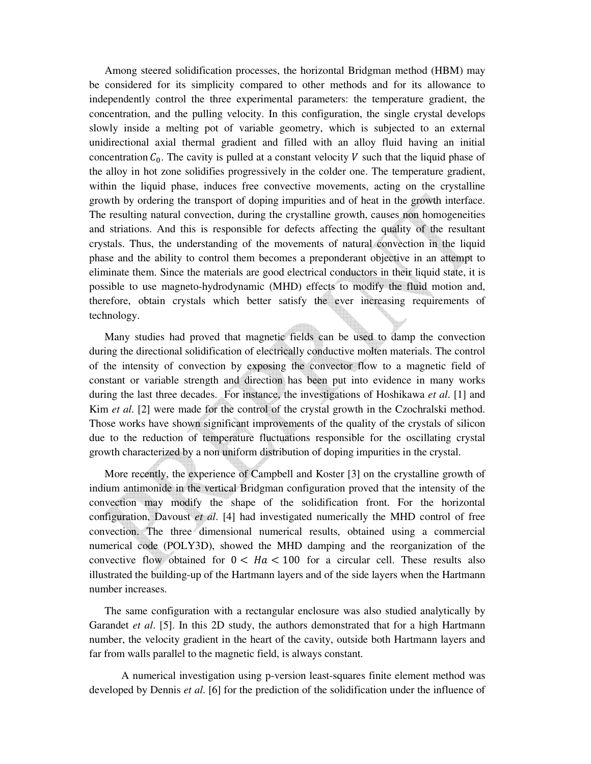Among steered solidification processes, the horizontal Bridgman method (HBM) may be considered for its simplicity compared to other methods and for its allowance to independently control the three experimental parameters: the temperature gradient, the concentration, and the pulling velocity. In this configuration, the single crystal develops slowly inside a melting pot of variable geometry, which is subjected to an external unidirectional axial thermal gradient and filled with an alloy fluid having an initial concentration  $C_0$ . The cavity is pulled at a constant velocity V such that the liquid phase of the alloy in hot zone solidifies progressively in the colder one. The temperature gradient, within the liquid phase, induces free convective movements, acting on the crystalline growth by ordering the transport of doping impurities and of heat in the growth interface. The resulting natural convection, during the crystalline growth, causes non homogeneities and striations. And this is responsible for defects affecting the quality of the resultant crystals. Thus, the understanding of the movements of natural convection in the liquid phase and the ability to control them becomes a preponderant objective in an attempt to eliminate them. Since the materials are good electrical conductors in their liquid state, it is possible to use magneto-hydrodynamic (MHD) effects to modify the fluid motion and, therefore, obtain crystals which better satisfy the ever increasing requirements of technology.

Many studies had proved that magnetic fields can be used to damp the convection during the directional solidification of electrically conductive molten materials. The control of the intensity of convection by exposing the convector flow to a magnetic field of constant or variable strength and direction has been put into evidence in many works during the last three decades. For instance, the investigations of Hoshikawa *et al*. [1] and Kim *et al*. [2] were made for the control of the crystal growth in the Czochralski method. Those works have shown significant improvements of the quality of the crystals of silicon due to the reduction of temperature fluctuations responsible for the oscillating crystal growth characterized by a non uniform distribution of doping impurities in the crystal.

More recently, the experience of Campbell and Koster [3] on the crystalline growth of indium antimonide in the vertical Bridgman configuration proved that the intensity of the convection may modify the shape of the solidification front. For the horizontal configuration, Davoust *et al*. [4] had investigated numerically the MHD control of free convection. The three dimensional numerical results, obtained using a commercial numerical code (POLY3D), showed the MHD damping and the reorganization of the convective flow obtained for  $0 < Ha < 100$  for a circular cell. These results also illustrated the building-up of the Hartmann layers and of the side layers when the Hartmann number increases.

The same configuration with a rectangular enclosure was also studied analytically by Garandet *et al*. [5]. In this 2D study, the authors demonstrated that for a high Hartmann number, the velocity gradient in the heart of the cavity, outside both Hartmann layers and far from walls parallel to the magnetic field, is always constant.

A numerical investigation using p-version least-squares finite element method was developed by Dennis *et al*. [6] for the prediction of the solidification under the influence of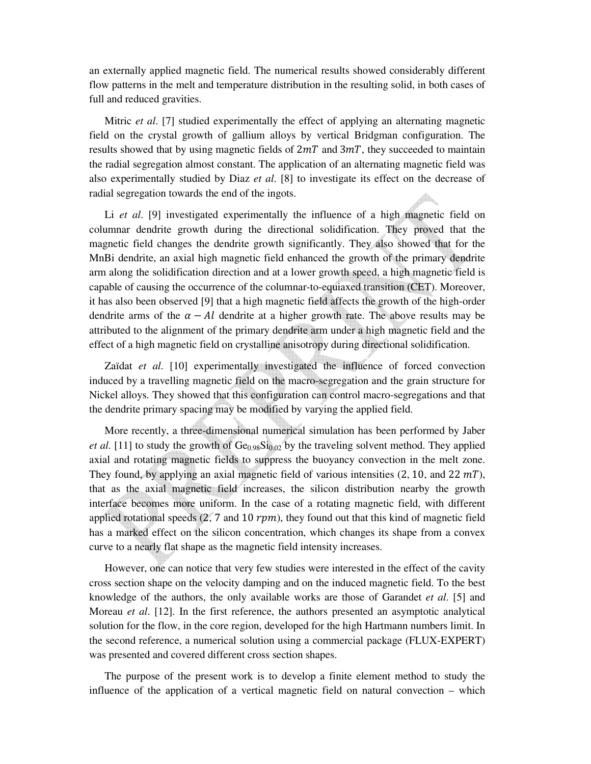an externally applied magnetic field. The numerical results showed considerably different flow patterns in the melt and temperature distribution in the resulting solid, in both cases of full and reduced gravities.

Mitric *et al*. [7] studied experimentally the effect of applying an alternating magnetic field on the crystal growth of gallium alloys by vertical Bridgman configuration. The results showed that by using magnetic fields of  $2mT$  and  $3mT$ , they succeeded to maintain the radial segregation almost constant. The application of an alternating magnetic field was also experimentally studied by Diaz *et al*. [8] to investigate its effect on the decrease of radial segregation towards the end of the ingots.

Li *et al*. [9] investigated experimentally the influence of a high magnetic field on columnar dendrite growth during the directional solidification. They proved that the magnetic field changes the dendrite growth significantly. They also showed that for the MnBi dendrite, an axial high magnetic field enhanced the growth of the primary dendrite arm along the solidification direction and at a lower growth speed, a high magnetic field is capable of causing the occurrence of the columnar-to-equiaxed transition (CET). Moreover, it has also been observed [9] that a high magnetic field affects the growth of the high-order dendrite arms of the  $\alpha - Al$  dendrite at a higher growth rate. The above results may be attributed to the alignment of the primary dendrite arm under a high magnetic field and the effect of a high magnetic field on crystalline anisotropy during directional solidification.

Zaïdat *et al*. [10] experimentally investigated the influence of forced convection induced by a travelling magnetic field on the macro-segregation and the grain structure for Nickel alloys. They showed that this configuration can control macro-segregations and that the dendrite primary spacing may be modified by varying the applied field.

More recently, a three-dimensional numerical simulation has been performed by Jaber *et al.* [11] to study the growth of  $Ge<sub>0.98</sub>Si<sub>0.02</sub>$  by the traveling solvent method. They applied axial and rotating magnetic fields to suppress the buoyancy convection in the melt zone. They found, by applying an axial magnetic field of various intensities  $(2, 10, \text{ and } 22 \text{ mT})$ , that as the axial magnetic field increases, the silicon distribution nearby the growth interface becomes more uniform. In the case of a rotating magnetic field, with different applied rotational speeds (2, 7 and 10  $rpm$ ), they found out that this kind of magnetic field has a marked effect on the silicon concentration, which changes its shape from a convex curve to a nearly flat shape as the magnetic field intensity increases.

However, one can notice that very few studies were interested in the effect of the cavity cross section shape on the velocity damping and on the induced magnetic field. To the best knowledge of the authors, the only available works are those of Garandet *et al*. [5] and Moreau *et al*. [12]. In the first reference, the authors presented an asymptotic analytical solution for the flow, in the core region, developed for the high Hartmann numbers limit. In the second reference, a numerical solution using a commercial package (FLUX-EXPERT) was presented and covered different cross section shapes.

The purpose of the present work is to develop a finite element method to study the influence of the application of a vertical magnetic field on natural convection – which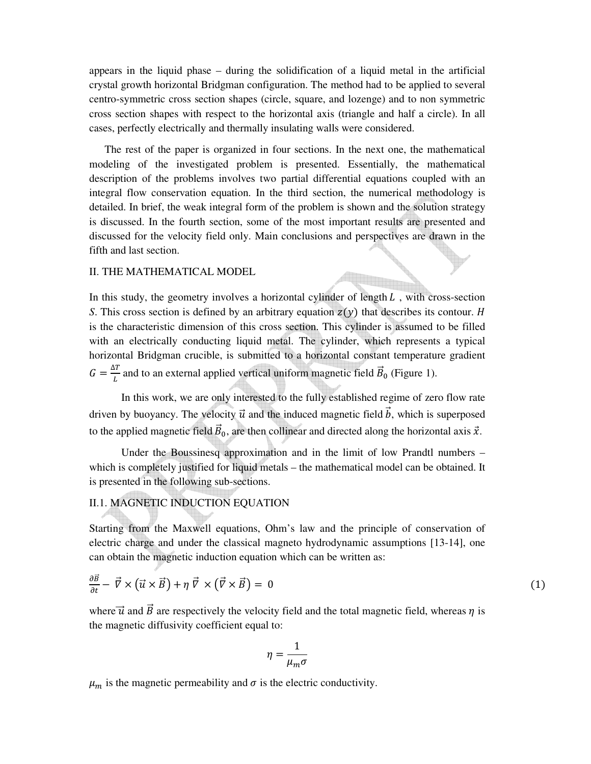appears in the liquid phase – during the solidification of a liquid metal in the artificial crystal growth horizontal Bridgman configuration. The method had to be applied to several centro-symmetric cross section shapes (circle, square, and lozenge) and to non symmetric cross section shapes with respect to the horizontal axis (triangle and half a circle). In all cases, perfectly electrically and thermally insulating walls were considered.

The rest of the paper is organized in four sections. In the next one, the mathematical modeling of the investigated problem is presented. Essentially, the mathematical description of the problems involves two partial differential equations coupled with an integral flow conservation equation. In the third section, the numerical methodology is detailed. In brief, the weak integral form of the problem is shown and the solution strategy is discussed. In the fourth section, some of the most important results are presented and discussed for the velocity field only. Main conclusions and perspectives are drawn in the fifth and last section.

#### II. THE MATHEMATICAL MODEL

In this study, the geometry involves a horizontal cylinder of length  $L$ , with cross-section *S*. This cross section is defined by an arbitrary equation  $z(y)$  that describes its contour. *H* is the characteristic dimension of this cross section. This cylinder is assumed to be filled with an electrically conducting liquid metal. The cylinder, which represents a typical horizontal Bridgman crucible, is submitted to a horizontal constant temperature gradient  $G = \frac{\Delta T}{L}$  and to an external applied vertical uniform magnetic field  $\vec{B}_0$  (Figure 1).

In this work, we are only interested to the fully established regime of zero flow rate driven by buoyancy. The velocity  $\vec{u}$  and the induced magnetic field  $\vec{b}$ , which is superposed to the applied magnetic field  $\vec{B}_0$ , are then collinear and directed along the horizontal axis  $\vec{x}$ .

Under the Boussinesq approximation and in the limit of low Prandtl numbers – which is completely justified for liquid metals – the mathematical model can be obtained. It is presented in the following sub-sections.

# II.1. MAGNETIC INDUCTION EQUATION

Starting from the Maxwell equations, Ohm's law and the principle of conservation of electric charge and under the classical magneto hydrodynamic assumptions [13-14], one can obtain the magnetic induction equation which can be written as:

$$
\frac{\partial \vec{B}}{\partial t} - \vec{\nabla} \times (\vec{u} \times \vec{B}) + \eta \vec{\nabla} \times (\vec{\nabla} \times \vec{B}) = 0 \tag{1}
$$

where  $\vec{u}$  and  $\vec{B}$  are respectively the velocity field and the total magnetic field, whereas  $\eta$  is the magnetic diffusivity coefficient equal to:

$$
\eta = \frac{1}{\mu_m \sigma}
$$

 $\mu_m$  is the magnetic permeability and  $\sigma$  is the electric conductivity.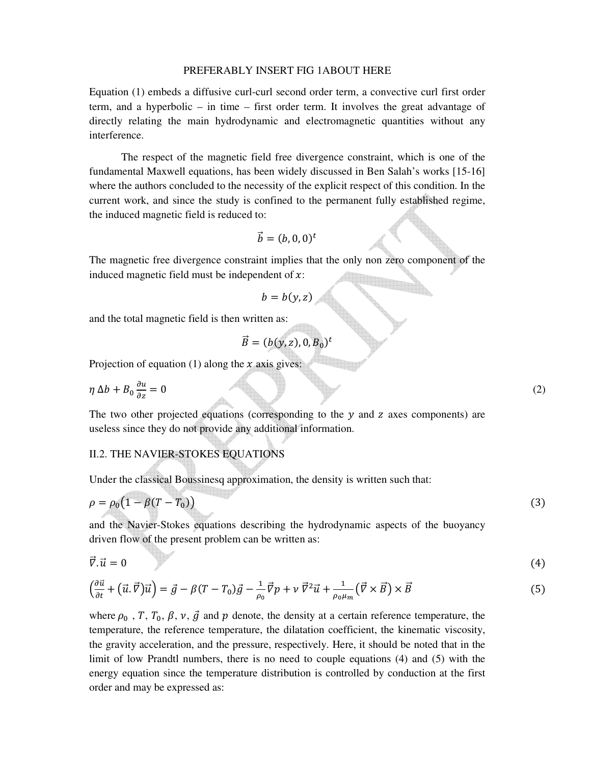#### PREFERABLY INSERT FIG 1ABOUT HERE

Equation (1) embeds a diffusive curl-curl second order term, a convective curl first order term, and a hyperbolic – in time – first order term. It involves the great advantage of directly relating the main hydrodynamic and electromagnetic quantities without any interference.

The respect of the magnetic field free divergence constraint, which is one of the fundamental Maxwell equations, has been widely discussed in Ben Salah's works [15-16] where the authors concluded to the necessity of the explicit respect of this condition. In the current work, and since the study is confined to the permanent fully established regime, the induced magnetic field is reduced to:

$$
\vec{b}=(b,0,0)^t
$$

The magnetic free divergence constraint implies that the only non zero component of the induced magnetic field must be independent of  $x$ :

$$
b=b(y,z)
$$

and the total magnetic field is then written as:

$$
\vec{B}=(b(y,z),0,B_0)^t
$$

Projection of equation (1) along the  $x$  axis gives:

$$
\eta \Delta b + B_0 \frac{\partial u}{\partial z} = 0 \tag{2}
$$

The two other projected equations (corresponding to the  $y$  and  $z$  axes components) are useless since they do not provide any additional information.

# II.2. THE NAVIER-STOKES EQUATIONS

Under the classical Boussinesq approximation, the density is written such that:

$$
\rho = \rho_0 \big( 1 - \beta (T - T_0) \big) \tag{3}
$$

and the Navier-Stokes equations describing the hydrodynamic aspects of the buoyancy driven flow of the present problem can be written as:

$$
\vec{\nabla}.\vec{u} = 0 \tag{4}
$$

$$
\left(\frac{\partial\vec{u}}{\partial t} + (\vec{u}.\vec{v})\vec{u}\right) = \vec{g} - \beta(T - T_0)\vec{g} - \frac{1}{\rho_0}\vec{v}p + \nu\,\vec{v}^2\vec{u} + \frac{1}{\rho_0\mu_m}\left(\vec{v}\times\vec{B}\right)\times\vec{B}
$$
\n<sup>(5)</sup>

where  $\rho_0$ , T,  $T_0$ ,  $\beta$ ,  $\nu$ ,  $\vec{g}$  and  $p$  denote, the density at a certain reference temperature, the temperature, the reference temperature, the dilatation coefficient, the kinematic viscosity, the gravity acceleration, and the pressure, respectively. Here, it should be noted that in the limit of low Prandtl numbers, there is no need to couple equations (4) and (5) with the energy equation since the temperature distribution is controlled by conduction at the first order and may be expressed as: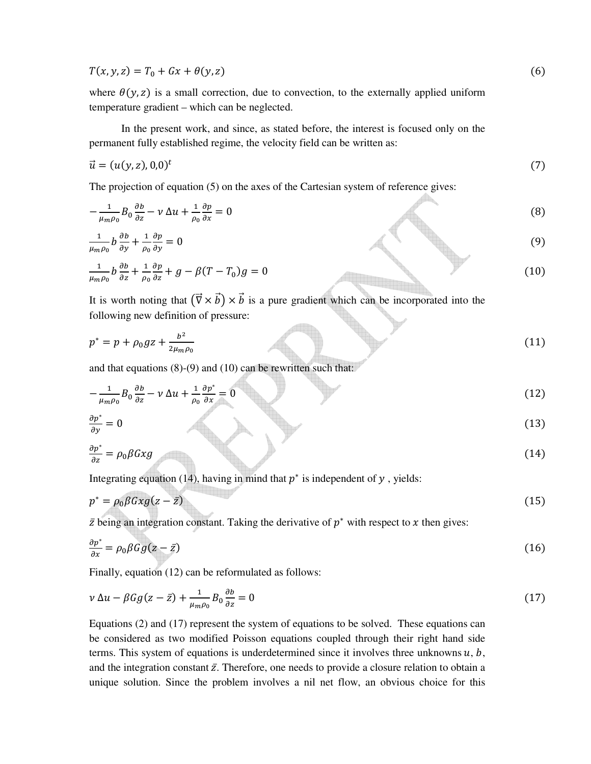$T(x, y, z) = T_0 + Gx + \theta(y, z)$  (6)

where  $\theta(y, z)$  is a small correction, due to convection, to the externally applied uniform temperature gradient – which can be neglected.

 In the present work, and since, as stated before, the interest is focused only on the permanent fully established regime, the velocity field can be written as:

$$
\vec{u} = (u(y, z), 0, 0)^t \tag{7}
$$

The projection of equation (5) on the axes of the Cartesian system of reference gives:

$$
-\frac{1}{\mu_m \rho_0} B_0 \frac{\partial b}{\partial z} - \nu \Delta u + \frac{1}{\rho_0} \frac{\partial p}{\partial x} = 0
$$
\n(8)\n
$$
\frac{1}{\mu_m \rho_0} b \frac{\partial b}{\partial y} + \frac{1}{\rho_0} \frac{\partial p}{\partial y} = 0
$$
\n(9)\n
$$
\frac{1}{\mu_m \rho_0} b \frac{\partial b}{\partial z} + \frac{1}{\rho_0} \frac{\partial p}{\partial z} + g - \beta (T - T_0) g = 0
$$
\n(10)

It is worth noting that  $(\vec{\nabla} \times \vec{b}) \times \vec{b}$  is a pure gradient which can be incorporated into the following new definition of pressure:

$$
p^* = p + \rho_0 g z + \frac{b^2}{2\mu_m \rho_0} \tag{11}
$$

di b

and that equations (8)-(9) and (10) can be rewritten such that:

$$
-\frac{1}{\mu_m \rho_0} B_0 \frac{\partial b}{\partial z} - \nu \Delta u + \frac{1}{\rho_0} \frac{\partial p^*}{\partial x} = 0 \tag{12}
$$

$$
\frac{\partial p^*}{\partial y} = 0 \tag{13}
$$

$$
\frac{\partial p^*}{\partial z} = \rho_0 \beta G x g \tag{14}
$$

Integrating equation (14), having in mind that  $p^*$  is independent of  $y$ , yields:

$$
p^* = \rho_0 \beta G x g (z - \bar{z}) \tag{15}
$$

 $\bar{z}$  being an integration constant. Taking the derivative of  $p^*$  with respect to  $x$  then gives:

$$
\frac{\partial p^*}{\partial x} = \rho_0 \beta G g (z - \bar{z}) \tag{16}
$$

Finally, equation (12) can be reformulated as follows:

$$
\nu \Delta u - \beta G g (z - \bar{z}) + \frac{1}{\mu_m \rho_0} B_0 \frac{\partial b}{\partial z} = 0 \tag{17}
$$

Equations (2) and (17) represent the system of equations to be solved. These equations can be considered as two modified Poisson equations coupled through their right hand side terms. This system of equations is underdetermined since it involves three unknowns  $u, b$ , and the integration constant  $\bar{z}$ . Therefore, one needs to provide a closure relation to obtain a unique solution. Since the problem involves a nil net flow, an obvious choice for this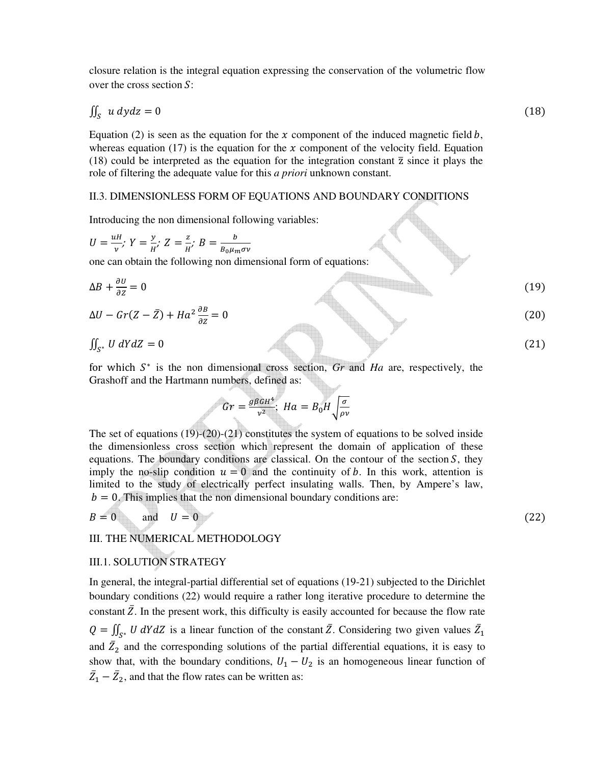closure relation is the integral equation expressing the conservation of the volumetric flow over the cross section  $S$ :

$$
\iint_{S} u \, dy \, dz = 0 \tag{18}
$$

Equation (2) is seen as the equation for the  $x$  component of the induced magnetic field  $b$ , whereas equation (17) is the equation for the  $x$  component of the velocity field. Equation (18) could be interpreted as the equation for the integration constant  $\overline{z}$  since it plays the role of filtering the adequate value for this *a priori* unknown constant.

# II.3. DIMENSIONLESS FORM OF EQUATIONS AND BOUNDARY CONDITIONS

Introducing the non dimensional following variables:

$$
U = \frac{uH}{v}, Y = \frac{y}{H}, Z = \frac{z}{H}, B = \frac{b}{B_0 \mu_m \sigma v}
$$
  
one can obtain the following non dimensional form of equations:  

$$
\Delta B + \frac{\partial U}{\partial z} = 0
$$
(19)  

$$
\Delta U - Gr(Z - \bar{Z}) + Ha^2 \frac{\partial B}{\partial z} = 0
$$
(20)  

$$
\iint_{S^*} U dY dZ = 0
$$
(21)

for which  $S^*$  is the non dimensional cross section, *Gr* and *Ha* are, respectively, the Grashoff and the Hartmann numbers, defined as:

$$
Gr = \frac{g\beta G H^4}{v^2}; \ Ha = B_0 H \sqrt{\frac{\sigma}{\rho v}}
$$

The set of equations (19)-(20)-(21) constitutes the system of equations to be solved inside the dimensionless cross section which represent the domain of application of these equations. The boundary conditions are classical. On the contour of the section  $S$ , they imply the no-slip condition  $u = 0$  and the continuity of b. In this work, attention is limited to the study of electrically perfect insulating walls. Then, by Ampere's law,  $b = 0$ . This implies that the non dimensional boundary conditions are:

$$
B = 0 \qquad \text{and} \quad U = 0 \tag{22}
$$

III. THE NUMERICAL METHODOLOGY

# III.1. SOLUTION STRATEGY

In general, the integral-partial differential set of equations (19-21) subjected to the Dirichlet boundary conditions (22) would require a rather long iterative procedure to determine the constant  $\overline{Z}$ . In the present work, this difficulty is easily accounted for because the flow rate  $Q = \iint_{S^*} U dY dZ$  is a linear function of the constant  $\overline{Z}$ . Considering two given values  $\overline{Z}_1$ and  $\bar{Z}_2$  and the corresponding solutions of the partial differential equations, it is easy to show that, with the boundary conditions,  $U_1 - U_2$  is an homogeneous linear function of  $\bar{Z}_1 - \bar{Z}_2$ , and that the flow rates can be written as:

$$
f_{\rm{max}}
$$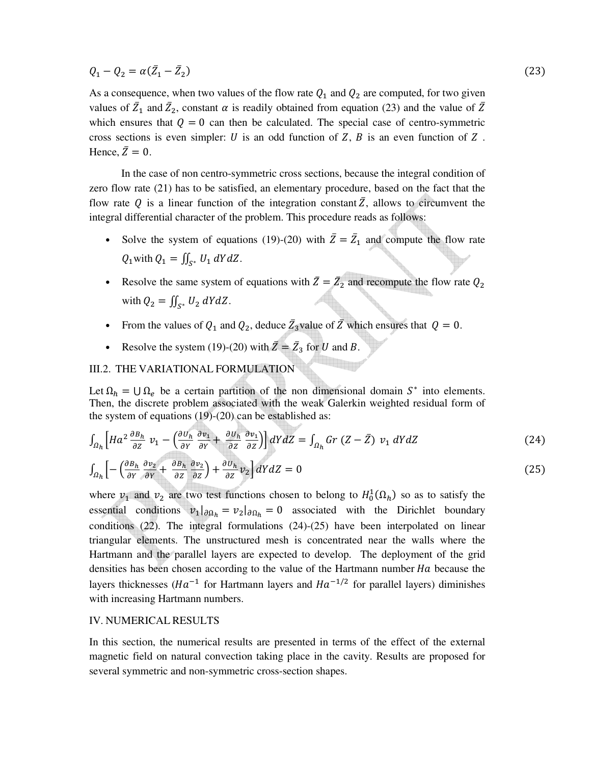$Q_1 - Q_2 = \alpha(\bar{Z}_1 - \bar{Z}_2)$ 

As a consequence, when two values of the flow rate  $Q_1$  and  $Q_2$  are computed, for two given values of  $\bar{Z}_1$  and  $\bar{Z}_2$ , constant  $\alpha$  is readily obtained from equation (23) and the value of  $\bar{Z}$ which ensures that  $Q = 0$  can then be calculated. The special case of centro-symmetric cross sections is even simpler: U is an odd function of Z,  $\overline{B}$  is an even function of Z. Hence,  $\overline{Z} = 0$ .

 In the case of non centro-symmetric cross sections, because the integral condition of zero flow rate (21) has to be satisfied, an elementary procedure, based on the fact that the flow rate O is a linear function of the integration constant  $\overline{Z}$ , allows to circumvent the integral differential character of the problem. This procedure reads as follows:

- Solve the system of equations (19)-(20) with  $\overline{Z} = \overline{Z}_1$  and compute the flow rate  $Q_1$  with  $Q_1 = \iint_{S^*} U_1 dY dZ$ .
- Resolve the same system of equations with  $\overline{Z} = \overline{Z}_2$  and recompute the flow rate  $Q_2$ with  $Q_2 = \iint_{S^*} U_2 dY dZ$ .
- From the values of  $Q_1$  and  $Q_2$ , deduce  $\bar{Z}_3$  value of  $\bar{Z}$  which ensures that  $Q = 0$ .
- Resolve the system (19)-(20) with  $\overline{Z} = \overline{Z}_3$  for U and B.

# III.2. THE VARIATIONAL FORMULATION

Let  $\Omega_h = \cup \Omega_e$  be a certain partition of the non dimensional domain  $S^*$  into elements. Then, the discrete problem associated with the weak Galerkin weighted residual form of the system of equations (19)-(20) can be established as:

$$
\int_{\Omega_h} \left[ H a^2 \frac{\partial B_h}{\partial z} \ v_1 - \left( \frac{\partial U_h}{\partial Y} \frac{\partial v_1}{\partial Y} + \frac{\partial U_h}{\partial Z} \frac{\partial v_1}{\partial Z} \right) \right] dY dZ = \int_{\Omega_h} G r (Z - \bar{Z}) \ v_1 dY dZ \tag{24}
$$

$$
\int_{\Omega_h} \left[ -\left( \frac{\partial B_h}{\partial Y} \frac{\partial v_2}{\partial Y} + \frac{\partial B_h}{\partial Z} \frac{\partial v_2}{\partial Z} \right) + \frac{\partial U_h}{\partial Z} v_2 \right] dY dZ = 0 \tag{25}
$$

where  $v_1$  and  $v_2$  are two test functions chosen to belong to  $H_0^1(\Omega_h)$  so as to satisfy the essential conditions  $v_1|_{\partial \Omega_h} = v_2|_{\partial \Omega_h} = 0$  associated with the Dirichlet boundary conditions (22). The integral formulations (24)-(25) have been interpolated on linear triangular elements. The unstructured mesh is concentrated near the walls where the Hartmann and the parallel layers are expected to develop. The deployment of the grid densities has been chosen according to the value of the Hartmann number  $Ha$  because the layers thicknesses ( $Ha^{-1}$  for Hartmann layers and  $Ha^{-1/2}$  for parallel layers) diminishes with increasing Hartmann numbers.

# IV. NUMERICAL RESULTS

In this section, the numerical results are presented in terms of the effect of the external magnetic field on natural convection taking place in the cavity. Results are proposed for several symmetric and non-symmetric cross-section shapes.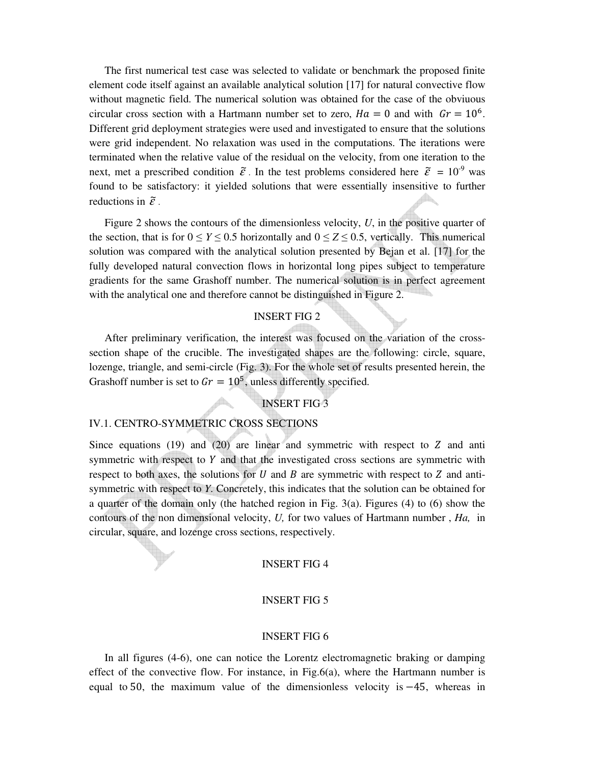The first numerical test case was selected to validate or benchmark the proposed finite element code itself against an available analytical solution [17] for natural convective flow without magnetic field. The numerical solution was obtained for the case of the obviuous circular cross section with a Hartmann number set to zero,  $Ha = 0$  and with  $Gr = 10^6$ . Different grid deployment strategies were used and investigated to ensure that the solutions were grid independent. No relaxation was used in the computations. The iterations were terminated when the relative value of the residual on the velocity, from one iteration to the next, met a prescribed condition  $\tilde{\varepsilon}$ . In the test problems considered here  $\tilde{\varepsilon} = 10^{-9}$  was found to be satisfactory: it yielded solutions that were essentially insensitive to further reductions in  $\tilde{\varepsilon}$ .

Figure 2 shows the contours of the dimensionless velocity, *U*, in the positive quarter of the section, that is for  $0 \le Y \le 0.5$  horizontally and  $0 \le Z \le 0.5$ , vertically. This numerical solution was compared with the analytical solution presented by Bejan et al. [17] for the fully developed natural convection flows in horizontal long pipes subject to temperature gradients for the same Grashoff number. The numerical solution is in perfect agreement with the analytical one and therefore cannot be distinguished in Figure 2.

### INSERT FIG 2

After preliminary verification, the interest was focused on the variation of the crosssection shape of the crucible. The investigated shapes are the following: circle, square, lozenge, triangle, and semi-circle (Fig. 3). For the whole set of results presented herein, the Grashoff number is set to  $Gr = 10^5$ , unless differently specified.

# INSERT FIG 3

#### IV.1. CENTRO-SYMMETRIC CROSS SECTIONS

Since equations  $(19)$  and  $(20)$  are linear and symmetric with respect to Z and anti symmetric with respect to  $Y$  and that the investigated cross sections are symmetric with respect to both axes, the solutions for U and B are symmetric with respect to Z and antisymmetric with respect to *Y*. Concretely, this indicates that the solution can be obtained for a quarter of the domain only (the hatched region in Fig. 3(a). Figures (4) to (6) show the contours of the non dimensional velocity, *U,* for two values of Hartmann number , *Ha,* in circular, square, and lozenge cross sections, respectively.

# INSERT FIG 4

#### INSERT FIG 5

#### INSERT FIG 6

In all figures (4-6), one can notice the Lorentz electromagnetic braking or damping effect of the convective flow. For instance, in  $Fig.6(a)$ , where the Hartmann number is equal to 50, the maximum value of the dimensionless velocity is  $-45$ , whereas in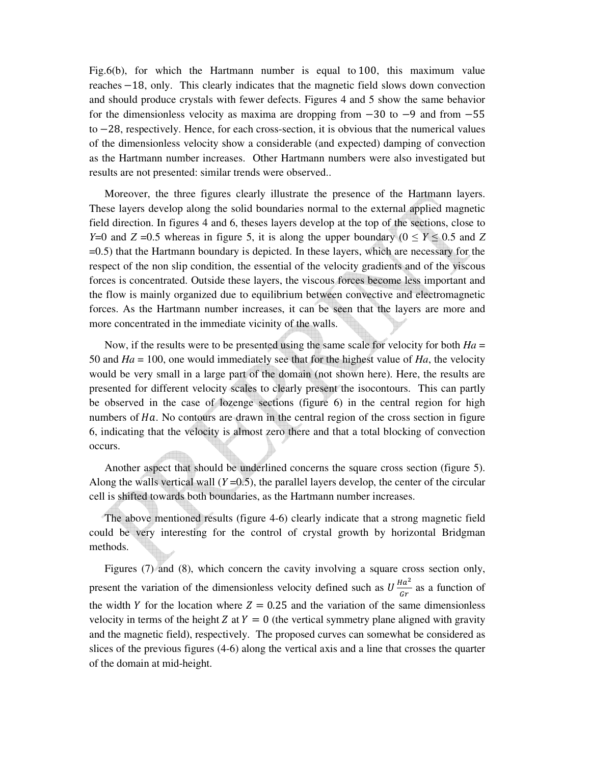Fig.6(b), for which the Hartmann number is equal to  $100$ , this maximum value reaches −18, only. This clearly indicates that the magnetic field slows down convection and should produce crystals with fewer defects. Figures 4 and 5 show the same behavior for the dimensionless velocity as maxima are dropping from −30 to −9 and from −55 to −28, respectively. Hence, for each cross-section, it is obvious that the numerical values of the dimensionless velocity show a considerable (and expected) damping of convection as the Hartmann number increases. Other Hartmann numbers were also investigated but results are not presented: similar trends were observed..

Moreover, the three figures clearly illustrate the presence of the Hartmann layers. These layers develop along the solid boundaries normal to the external applied magnetic field direction. In figures 4 and 6, theses layers develop at the top of the sections, close to *Y*=0 and *Z* =0.5 whereas in figure 5, it is along the upper boundary ( $0 \le Y \le 0.5$  and *Z* =0.5) that the Hartmann boundary is depicted. In these layers, which are necessary for the respect of the non slip condition, the essential of the velocity gradients and of the viscous forces is concentrated. Outside these layers, the viscous forces become less important and the flow is mainly organized due to equilibrium between convective and electromagnetic forces. As the Hartmann number increases, it can be seen that the layers are more and more concentrated in the immediate vicinity of the walls.

Now, if the results were to be presented using the same scale for velocity for both *Ha* = 50 and *Ha* = 100, one would immediately see that for the highest value of *Ha*, the velocity would be very small in a large part of the domain (not shown here). Here, the results are presented for different velocity scales to clearly present the isocontours. This can partly be observed in the case of lozenge sections (figure 6) in the central region for high numbers of  $Ha$ . No contours are drawn in the central region of the cross section in figure 6, indicating that the velocity is almost zero there and that a total blocking of convection occurs.

Another aspect that should be underlined concerns the square cross section (figure 5). Along the walls vertical wall  $(Y=0.5)$ , the parallel layers develop, the center of the circular cell is shifted towards both boundaries, as the Hartmann number increases.

The above mentioned results (figure 4-6) clearly indicate that a strong magnetic field could be very interesting for the control of crystal growth by horizontal Bridgman methods.

Figures (7) and (8), which concern the cavity involving a square cross section only, present the variation of the dimensionless velocity defined such as  $U \frac{Ha^2}{dr}$  $\frac{du}{dr}$  as a function of the width Y for the location where  $Z = 0.25$  and the variation of the same dimensionless velocity in terms of the height Z at  $Y = 0$  (the vertical symmetry plane aligned with gravity and the magnetic field), respectively. The proposed curves can somewhat be considered as slices of the previous figures (4-6) along the vertical axis and a line that crosses the quarter of the domain at mid-height.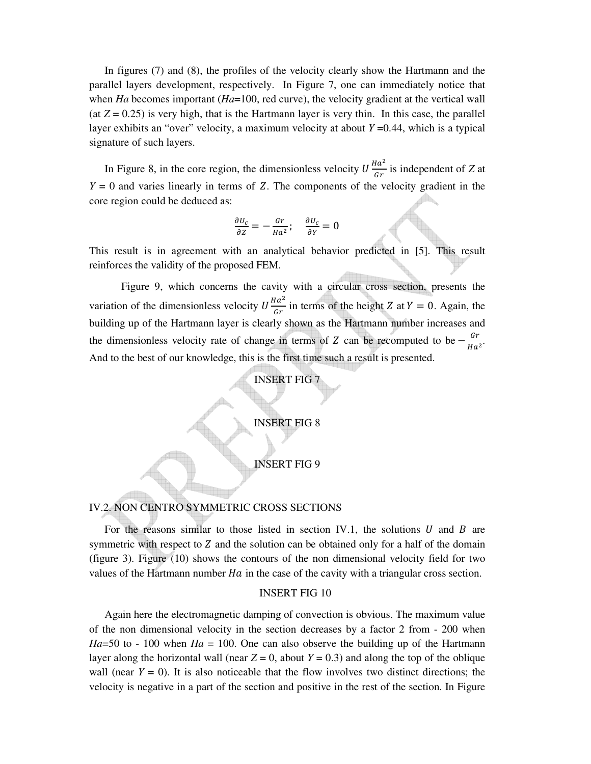In figures (7) and (8), the profiles of the velocity clearly show the Hartmann and the parallel layers development, respectively. In Figure 7, one can immediately notice that when *Ha* becomes important (*Ha*=100, red curve), the velocity gradient at the vertical wall (at  $Z = 0.25$ ) is very high, that is the Hartmann layer is very thin. In this case, the parallel layer exhibits an "over" velocity, a maximum velocity at about *Y* =0.44, which is a typical signature of such layers.

In Figure 8, in the core region, the dimensionless velocity  $U \frac{Ha^2}{c\tau}$  $\frac{du}{dr}$  is independent of *Z* at  $Y = 0$  and varies linearly in terms of Z. The components of the velocity gradient in the core region could be deduced as:

$$
\frac{\partial u_c}{\partial z} = -\frac{Gr}{Ha^2}; \quad \frac{\partial u_c}{\partial y} = 0
$$

This result is in agreement with an analytical behavior predicted in [5]. This result reinforces the validity of the proposed FEM.

Figure 9, which concerns the cavity with a circular cross section, presents the variation of the dimensionless velocity  $U \frac{Ha^2}{c^2}$  $\frac{du}{dr}$  in terms of the height Z at  $Y = 0$ . Again, the building up of the Hartmann layer is clearly shown as the Hartmann number increases and the dimensionless velocity rate of change in terms of Z can be recomputed to be  $-\frac{Gr}{Hg}$  $\frac{u}{Ha^2}$ . And to the best of our knowledge, this is the first time such a result is presented.

# INSERT FIG 7

## INSERT FIG 8

## INSERT FIG 9

## IV.2. NON CENTRO SYMMETRIC CROSS SECTIONS

For the reasons similar to those listed in section IV.1, the solutions  $U$  and  $B$  are symmetric with respect to Z and the solution can be obtained only for a half of the domain (figure 3). Figure (10) shows the contours of the non dimensional velocity field for two values of the Hartmann number  $Ha$  in the case of the cavity with a triangular cross section.

### INSERT FIG 10

Again here the electromagnetic damping of convection is obvious. The maximum value of the non dimensional velocity in the section decreases by a factor 2 from - 200 when *Ha*=50 to - 100 when *Ha* = 100. One can also observe the building up of the Hartmann layer along the horizontal wall (near  $Z = 0$ , about  $Y = 0.3$ ) and along the top of the oblique wall (near  $Y = 0$ ). It is also noticeable that the flow involves two distinct directions; the velocity is negative in a part of the section and positive in the rest of the section. In Figure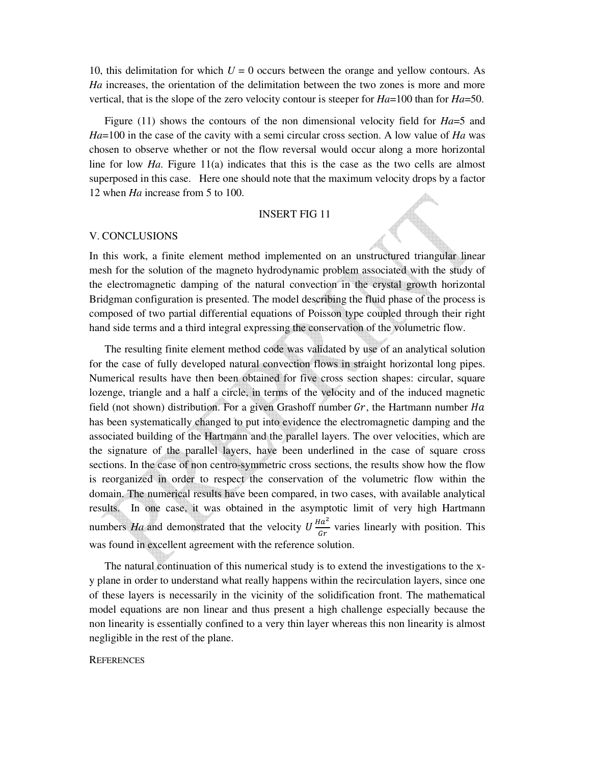10, this delimitation for which  $U = 0$  occurs between the orange and yellow contours. As *Ha* increases, the orientation of the delimitation between the two zones is more and more vertical, that is the slope of the zero velocity contour is steeper for *Ha*=100 than for *Ha*=50.

Figure (11) shows the contours of the non dimensional velocity field for *Ha*=5 and *Ha*=100 in the case of the cavity with a semi circular cross section. A low value of *Ha* was chosen to observe whether or not the flow reversal would occur along a more horizontal line for low *Ha*. Figure 11(a) indicates that this is the case as the two cells are almost superposed in this case. Here one should note that the maximum velocity drops by a factor 12 when *Ha* increase from 5 to 100.

## INSERT FIG 11

#### V. CONCLUSIONS

In this work, a finite element method implemented on an unstructured triangular linear mesh for the solution of the magneto hydrodynamic problem associated with the study of the electromagnetic damping of the natural convection in the crystal growth horizontal Bridgman configuration is presented. The model describing the fluid phase of the process is composed of two partial differential equations of Poisson type coupled through their right hand side terms and a third integral expressing the conservation of the volumetric flow.

The resulting finite element method code was validated by use of an analytical solution for the case of fully developed natural convection flows in straight horizontal long pipes. Numerical results have then been obtained for five cross section shapes: circular, square lozenge, triangle and a half a circle, in terms of the velocity and of the induced magnetic field (not shown) distribution. For a given Grashoff number  $Gr$ , the Hartmann number  $Ha$ has been systematically changed to put into evidence the electromagnetic damping and the associated building of the Hartmann and the parallel layers. The over velocities, which are the signature of the parallel layers, have been underlined in the case of square cross sections. In the case of non centro-symmetric cross sections, the results show how the flow is reorganized in order to respect the conservation of the volumetric flow within the domain. The numerical results have been compared, in two cases, with available analytical results. In one case, it was obtained in the asymptotic limit of very high Hartmann numbers *Ha* and demonstrated that the velocity  $U \frac{Ha^2}{dr}$  $\frac{du}{dr}$  varies linearly with position. This was found in excellent agreement with the reference solution.

The natural continuation of this numerical study is to extend the investigations to the xy plane in order to understand what really happens within the recirculation layers, since one of these layers is necessarily in the vicinity of the solidification front. The mathematical model equations are non linear and thus present a high challenge especially because the non linearity is essentially confined to a very thin layer whereas this non linearity is almost negligible in the rest of the plane.

#### **REFERENCES**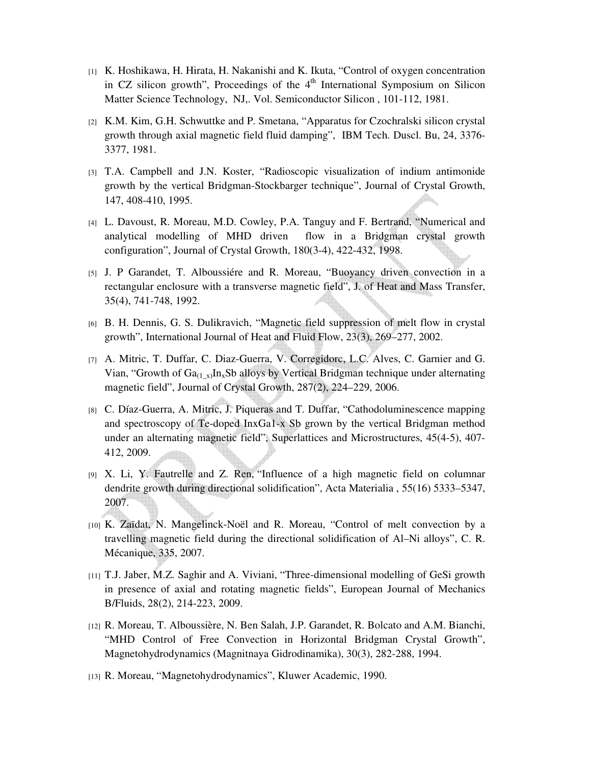- [1] K. Hoshikawa, H. Hirata, H. Nakanishi and K. Ikuta, "Control of oxygen concentration in CZ silicon growth", Proceedings of the  $4<sup>th</sup>$  International Symposium on Silicon Matter Science Technology, NJ,. Vol. Semiconductor Silicon , 101-112, 1981.
- [2] K.M. Kim, G.H. Schwuttke and P. Smetana, "Apparatus for Czochralski silicon crystal growth through axial magnetic field fluid damping", IBM Tech. Duscl. Bu, 24, 3376- 3377, 1981.
- [3] T.A. Campbell and J.N. Koster, "Radioscopic visualization of indium antimonide growth by the vertical Bridgman-Stockbarger technique", Journal of Crystal Growth, 147, 408-410, 1995.
- [4] L. Davoust, R. Moreau, M.D. Cowley, P.A. Tanguy and F. Bertrand, "Numerical and analytical modelling of MHD driven flow in a Bridgman crystal growth configuration", Journal of Crystal Growth, 180(3-4), 422-432, 1998.
- [5] J. P Garandet, T. Alboussiére and R. Moreau, "Buoyancy driven convection in a rectangular enclosure with a transverse magnetic field", J. of Heat and Mass Transfer, 35(4), 741-748, 1992.
- [6] B. H. Dennis, G. S. Dulikravich, "Magnetic field suppression of melt flow in crystal growth", International Journal of Heat and Fluid Flow, 23(3), 269–277, 2002.
- [7] A. Mitric, T. Duffar, C. Diaz-Guerra, V. Corregidorc, L.C. Alves, C. Garnier and G. Vian, "Growth of  $Ga_{(1-x)}In_xSb$  alloys by Vertical Bridgman technique under alternating magnetic field", Journal of Crystal Growth, 287(2), 224–229, 2006.
- [8] C. Díaz-Guerra, A. Mitric, J. Piqueras and T. Duffar, "Cathodoluminescence mapping and spectroscopy of Te-doped InxGa1-x Sb grown by the vertical Bridgman method under an alternating magnetic field", Superlattices and Microstructures, 45(4-5), 407- 412, 2009.
- [9] X. Li, Y. Fautrelle and Z. Ren, "Influence of a high magnetic field on columnar dendrite growth during directional solidification", Acta Materialia , 55(16) 5333–5347, 2007.
- [10] K. Zaïdat, N. Mangelinck-Noël and R. Moreau, "Control of melt convection by a travelling magnetic field during the directional solidification of Al–Ni alloys", C. R. Mécanique, 335, 2007.
- [11] T.J. Jaber, M.Z. Saghir and A. Viviani, "Three-dimensional modelling of GeSi growth in presence of axial and rotating magnetic fields", European Journal of Mechanics B/Fluids, 28(2), 214-223, 2009.
- [12] R. Moreau, T. Alboussière, N. Ben Salah, J.P. Garandet, R. Bolcato and A.M. Bianchi, "MHD Control of Free Convection in Horizontal Bridgman Crystal Growth", Magnetohydrodynamics (Magnitnaya Gidrodinamika), 30(3), 282-288, 1994.
- [13] R. Moreau, "Magnetohydrodynamics", Kluwer Academic, 1990.